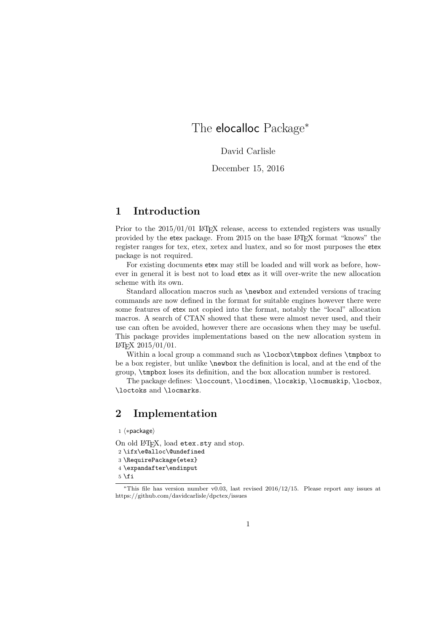## The elocalloc Package<sup>∗</sup>

David Carlisle

December 15, 2016

## 1 Introduction

Prior to the  $2015/01/01$  LAT<sub>EX</sub> release, access to extended registers was usually provided by the etex package. From 2015 on the base LATEX format "knows" the register ranges for tex, etex, xetex and luatex, and so for most purposes the etex package is not required.

For existing documents etex may still be loaded and will work as before, however in general it is best not to load etex as it will over-write the new allocation scheme with its own.

Standard allocation macros such as \newbox and extended versions of tracing commands are now defined in the format for suitable engines however there were some features of etex not copied into the format, notably the "local" allocation macros. A search of CTAN showed that these were almost never used, and their use can often be avoided, however there are occasions when they may be useful. This package provides implementations based on the new allocation system in LATEX 2015/01/01.

Within a local group a command such as \locbox\tmpbox defines \tmpbox to be a box register, but unlike \newbox the definition is local, and at the end of the group, \tmpbox loses its definition, and the box allocation number is restored.

The package defines: \loccount, \locdimen, \locskip, \locmuskip, \locbox, \loctoks and \locmarks.

## 2 Implementation

1  $\langle *package \rangle$ 

On old LAT<sub>EX</sub>, load etex.sty and stop.

- 2 \ifx\e@alloc\@undefined
- 3 \RequirePackage{etex}
- 4 \expandafter\endinput
- $5 \mid 1$

<sup>∗</sup>This file has version number v0.03, last revised 2016/12/15. Please report any issues at https://github.com/davidcarlisle/dpctex/issues